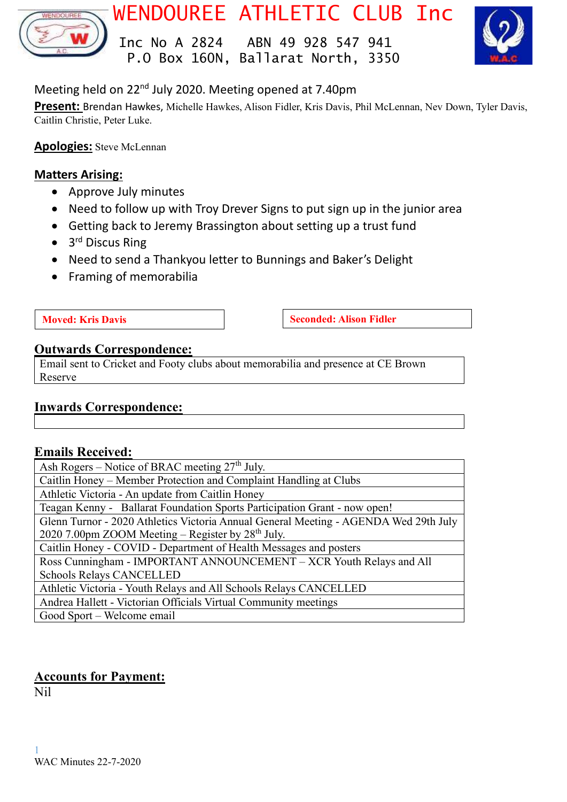

WENDOUREE ATHLETIC CLUB Inc

 Inc No A 2824 ABN 49 928 547 941 P.O Box 160N, Ballarat North, 3350



Meeting held on 22nd July 2020. Meeting opened at 7.40pm

**Present:** Brendan Hawkes, Michelle Hawkes, Alison Fidler, Kris Davis, Phil McLennan, Nev Down, Tyler Davis, Caitlin Christie, Peter Luke.

**Apologies:** Steve McLennan

# **Matters Arising:**

- Approve July minutes
- Need to follow up with Troy Drever Signs to put sign up in the junior area
- Getting back to Jeremy Brassington about setting up a trust fund
- 3<sup>rd</sup> Discus Ring
- Need to send a Thankyou letter to Bunnings and Baker's Delight
- Framing of memorabilia

**Moved:** Kris Davis **Seconded:** Alison Fidler

# **Outwards Correspondence:**

Email sent to Cricket and Footy clubs about memorabilia and presence at CE Brown Reserve

# **Inwards Correspondence:**

# **Emails Received:**

Ash Rogers – Notice of BRAC meeting  $27<sup>th</sup>$  July. Caitlin Honey – Member Protection and Complaint Handling at Clubs Athletic Victoria - An update from Caitlin Honey Teagan Kenny - Ballarat Foundation Sports Participation Grant - now open! Glenn Turnor - 2020 Athletics Victoria Annual General Meeting - AGENDA Wed 29th July  $2020$  7.00pm ZOOM Meeting – Register by  $28<sup>th</sup>$  July. Caitlin Honey - COVID - Department of Health Messages and posters Ross Cunningham - IMPORTANT ANNOUNCEMENT – XCR Youth Relays and All Schools Relays CANCELLED Athletic Victoria - Youth Relays and All Schools Relays CANCELLED Andrea Hallett - Victorian Officials Virtual Community meetings Good Sport – Welcome email

# **Accounts for Payment:**

Nil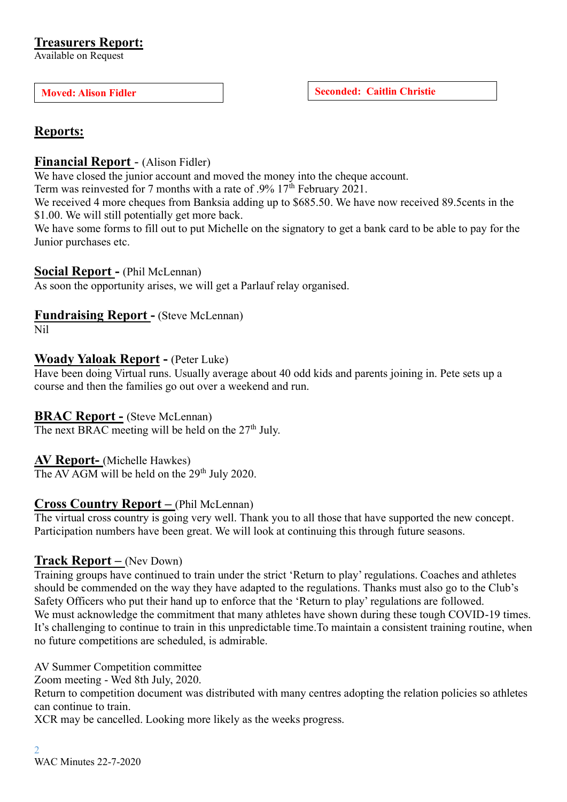Available on Request

**Moved:** Alison Fidler **Seconded:** Caitlin Christie

# **Reports:**

### **Financial Report** - (Alison Fidler)

We have closed the junior account and moved the money into the cheque account.

Term was reinvested for 7 months with a rate of .9% 17<sup>th</sup> February 2021.

We received 4 more cheques from Banksia adding up to \$685.50. We have now received 89.5cents in the \$1.00. We will still potentially get more back.

We have some forms to fill out to put Michelle on the signatory to get a bank card to be able to pay for the Junior purchases etc.

#### **Social Report -** (Phil McLennan)

As soon the opportunity arises, we will get a Parlauf relay organised.

#### **Fundraising Report -** (Steve McLennan)

Nil

#### **Woady Yaloak Report -** (Peter Luke)

Have been doing Virtual runs. Usually average about 40 odd kids and parents joining in. Pete sets up a course and then the families go out over a weekend and run.

#### **BRAC Report -** (Steve McLennan)

The next BRAC meeting will be held on the  $27<sup>th</sup>$  July.

**AV Report-** (Michelle Hawkes)

The AV AGM will be held on the 29<sup>th</sup> July 2020.

# **Cross Country Report –** (Phil McLennan)

The virtual cross country is going very well. Thank you to all those that have supported the new concept. Participation numbers have been great. We will look at continuing this through future seasons.

# **Track Report –** (Nev Down)

Training groups have continued to train under the strict 'Return to play' regulations. Coaches and athletes should be commended on the way they have adapted to the regulations. Thanks must also go to the Club's Safety Officers who put their hand up to enforce that the 'Return to play' regulations are followed. We must acknowledge the commitment that many athletes have shown during these tough COVID-19 times. It's challenging to continue to train in this unpredictable time.To maintain a consistent training routine, when no future competitions are scheduled, is admirable.

AV Summer Competition committee

Zoom meeting - Wed 8th July, 2020.

Return to competition document was distributed with many centres adopting the relation policies so athletes can continue to train.

XCR may be cancelled. Looking more likely as the weeks progress.